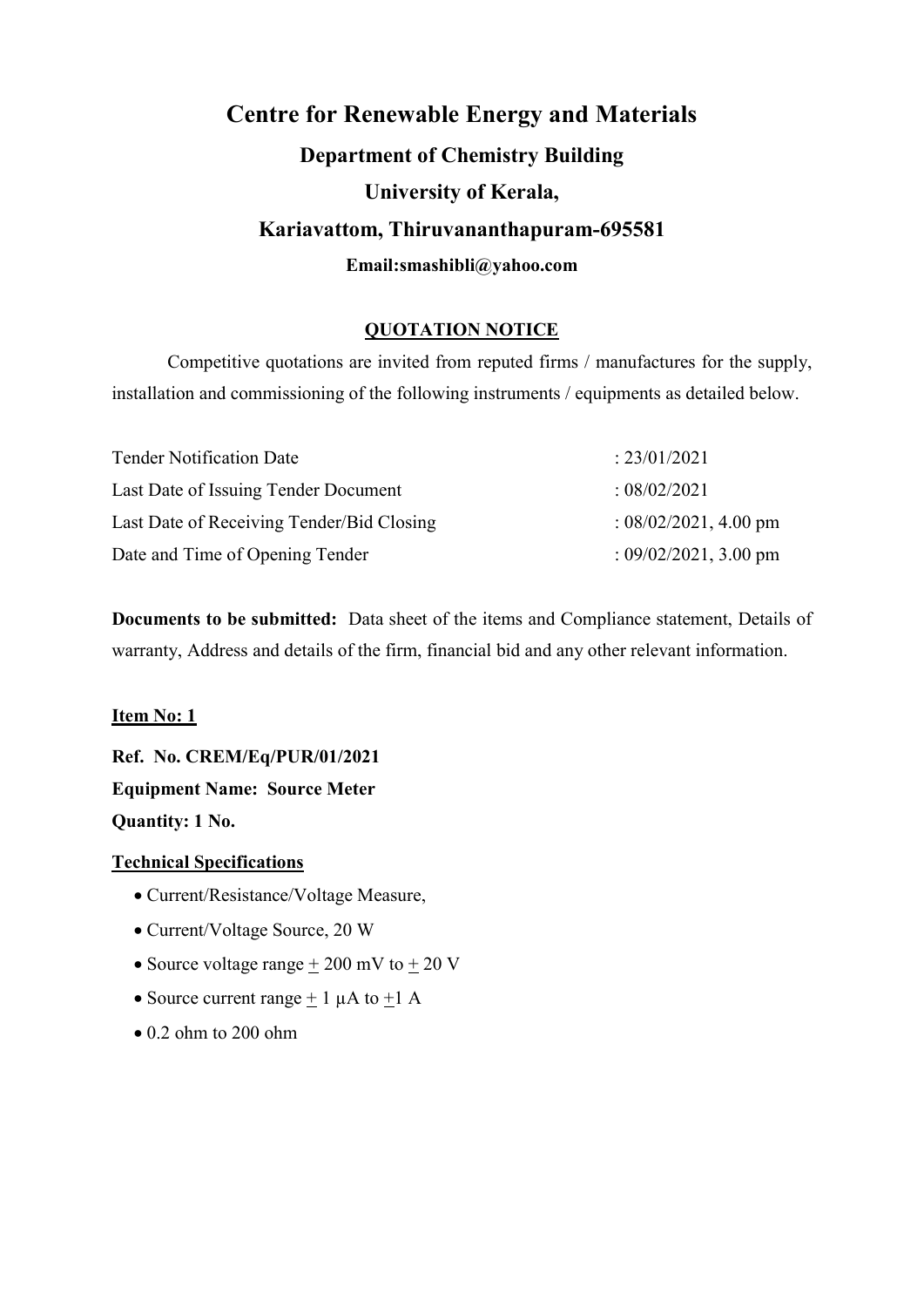# Centre for Renewable Energy and Materials Department of Chemistry Building University of Kerala, Kariavattom, Thiruvananthapuram-695581 Email:smashibli@yahoo.com

#### QUOTATION NOTICE

Competitive quotations are invited from reputed firms / manufactures for the supply, installation and commissioning of the following instruments / equipments as detailed below.

| <b>Tender Notification Date</b>           | : 23/01/2021             |
|-------------------------------------------|--------------------------|
| Last Date of Issuing Tender Document      | : 08/02/2021             |
| Last Date of Receiving Tender/Bid Closing | : $08/02/2021$ , 4.00 pm |
| Date and Time of Opening Tender           | : $09/02/2021$ , 3.00 pm |

Documents to be submitted: Data sheet of the items and Compliance statement, Details of warranty, Address and details of the firm, financial bid and any other relevant information.

#### Item No: 1

Ref. No. CREM/Eq/PUR/01/2021 Equipment Name: Source Meter Quantity: 1 No.

#### Technical Specifications

- Current/Resistance/Voltage Measure,
- Current/Voltage Source, 20 W
- Source voltage range  $+ 200$  mV to  $+ 20$  V
- Source current range  $+ 1 \mu A$  to  $+ 1 A$
- $\bullet$  0.2 ohm to 200 ohm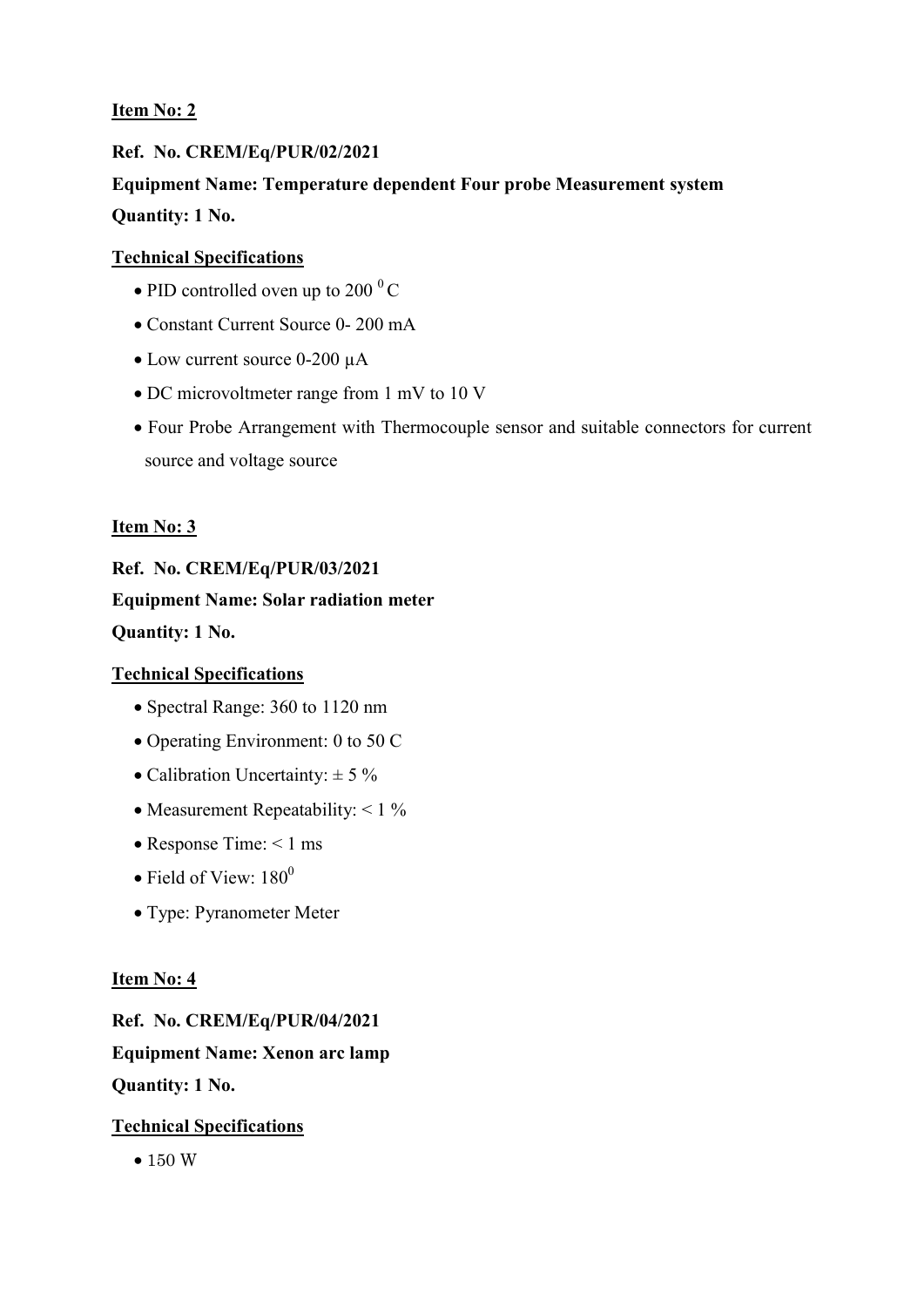## Ref. No. CREM/Eq/PUR/02/2021 Equipment Name: Temperature dependent Four probe Measurement system Quantity: 1 No.

#### Technical Specifications

- $\bullet$  PID controlled oven up to 200  $\mathrm{^{0}C}$
- Constant Current Source 0- 200 mA
- Low current source 0-200 µA
- DC microvoltmeter range from 1 mV to 10 V
- Four Probe Arrangement with Thermocouple sensor and suitable connectors for current source and voltage source

#### Item No: 3

#### Ref. No. CREM/Eq/PUR/03/2021

#### Equipment Name: Solar radiation meter

Quantity: 1 No.

#### Technical Specifications

- Spectral Range: 360 to 1120 nm
- Operating Environment: 0 to 50 C
- Calibration Uncertainty:  $\pm$  5 %
- Measurement Repeatability:  $< 1\%$
- Response Time:  $\leq 1$  ms
- $\bullet$  Field of View: 180<sup>0</sup>
- Type: Pyranometer Meter

#### Item No: 4

Ref. No. CREM/Eq/PUR/04/2021 Equipment Name: Xenon arc lamp Quantity: 1 No.

#### Technical Specifications

• 150 W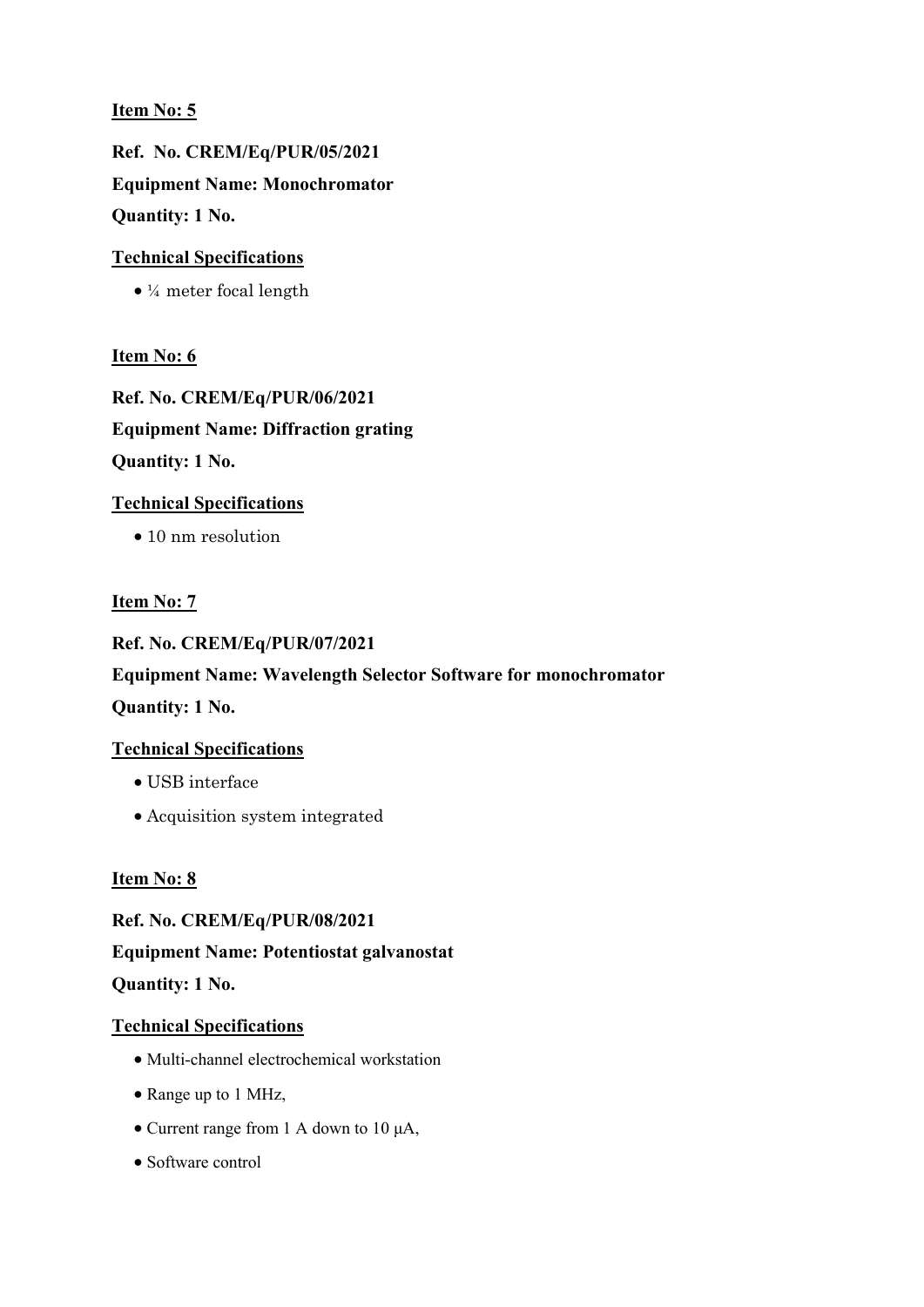Ref. No. CREM/Eq/PUR/05/2021 Equipment Name: Monochromator Quantity: 1 No.

#### Technical Specifications

¼ meter focal length

#### Item No: 6

Ref. No. CREM/Eq/PUR/06/2021 Equipment Name: Diffraction grating Quantity: 1 No.

#### Technical Specifications

• 10 nm resolution

#### Item No: 7

Ref. No. CREM/Eq/PUR/07/2021 Equipment Name: Wavelength Selector Software for monochromator Quantity: 1 No.

#### Technical Specifications

- USB interface
- Acquisition system integrated

#### Item No: 8

Ref. No. CREM/Eq/PUR/08/2021 Equipment Name: Potentiostat galvanostat Quantity: 1 No.

#### Technical Specifications

- Multi-channel electrochemical workstation
- Range up to 1 MHz,
- Current range from 1 A down to 10 μA,
- Software control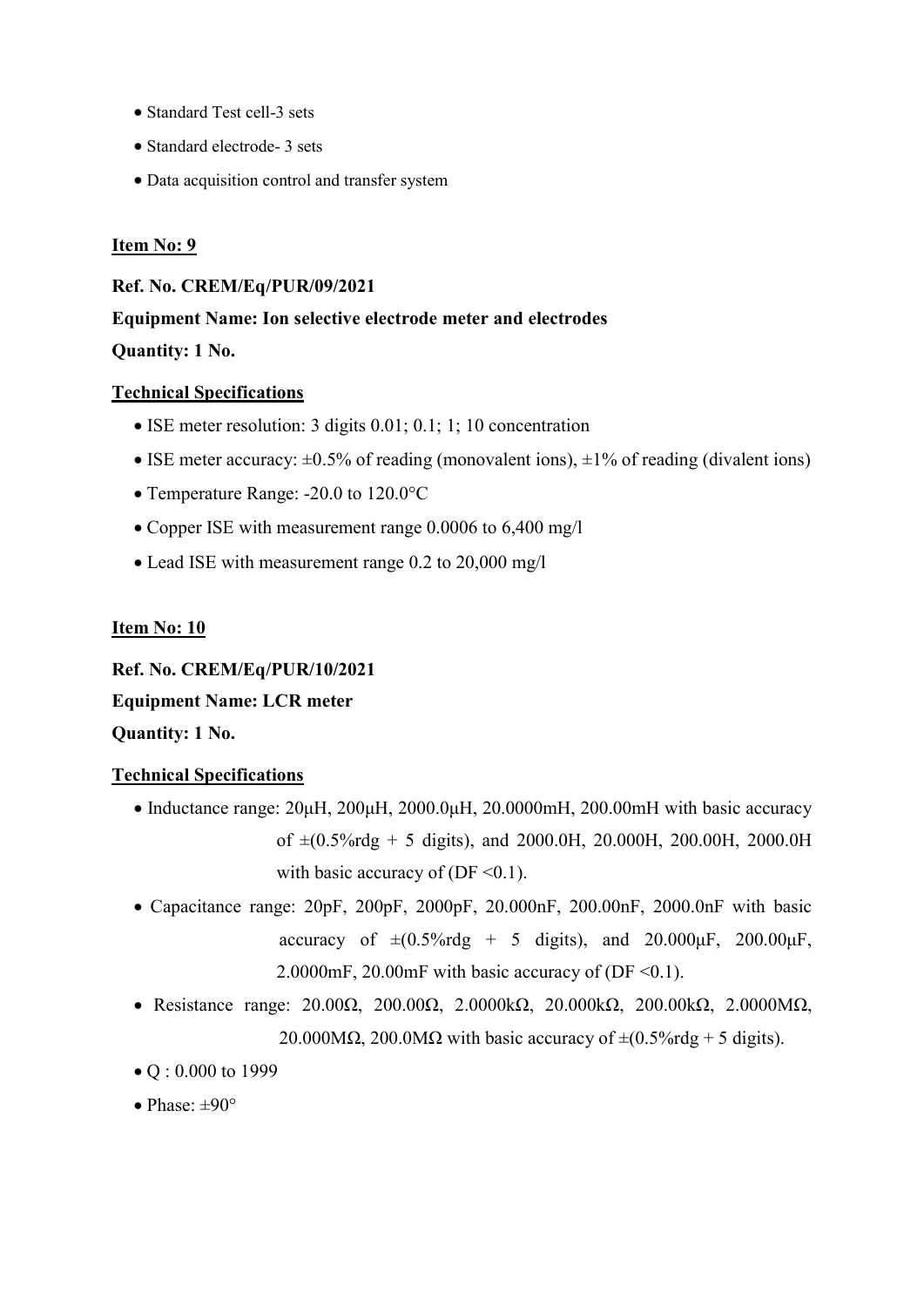- Standard Test cell-3 sets
- Standard electrode- 3 sets
- Data acquisition control and transfer system

Ref. No. CREM/Eq/PUR/09/2021

Equipment Name: Ion selective electrode meter and electrodes

Quantity: 1 No.

#### Technical Specifications

- ISE meter resolution: 3 digits 0.01; 0.1; 1; 10 concentration
- ISE meter accuracy:  $\pm 0.5\%$  of reading (monovalent ions),  $\pm 1\%$  of reading (divalent ions)
- Temperature Range: -20.0 to 120.0 °C
- Copper ISE with measurement range 0.0006 to 6,400 mg/l
- Lead ISE with measurement range 0.2 to 20,000 mg/l

#### Item No: 10

Ref. No. CREM/Eq/PUR/10/2021 Equipment Name: LCR meter Quantity: 1 No.

#### Technical Specifications

- Inductance range:  $20\mu$ H,  $200\mu$ H,  $2000.0\mu$ H,  $20.0000$ mH,  $200.00$ mH with basic accuracy of  $\pm (0.5\% \text{rdg} + 5 \text{ digits})$ , and 2000.0H, 20.000H, 200.00H, 2000.0H with basic accuracy of (DF  $\leq 0.1$ ).
- Capacitance range: 20pF, 200pF, 2000pF, 20.000nF, 200.00nF, 2000.0nF with basic accuracy of  $\pm (0.5\% \text{rdg} + 5 \text{ digits})$ , and  $20.000 \mu\text{F}$ ,  $200.00 \mu\text{F}$ , 2.0000mF, 20.00mF with basic accuracy of  $(DF < 0.1)$ .
- Resistance range: 20.00Ω, 200.00Ω, 2.0000kΩ, 20.000kΩ, 200.00kΩ, 2.0000MΩ, 20.000M $\Omega$ , 200.0M $\Omega$  with basic accuracy of  $\pm (0.5\% \text{rdg} + 5 \text{ digits}).$
- Q: 0.000 to 1999
- $\bullet$  Phase:  $\pm 90^\circ$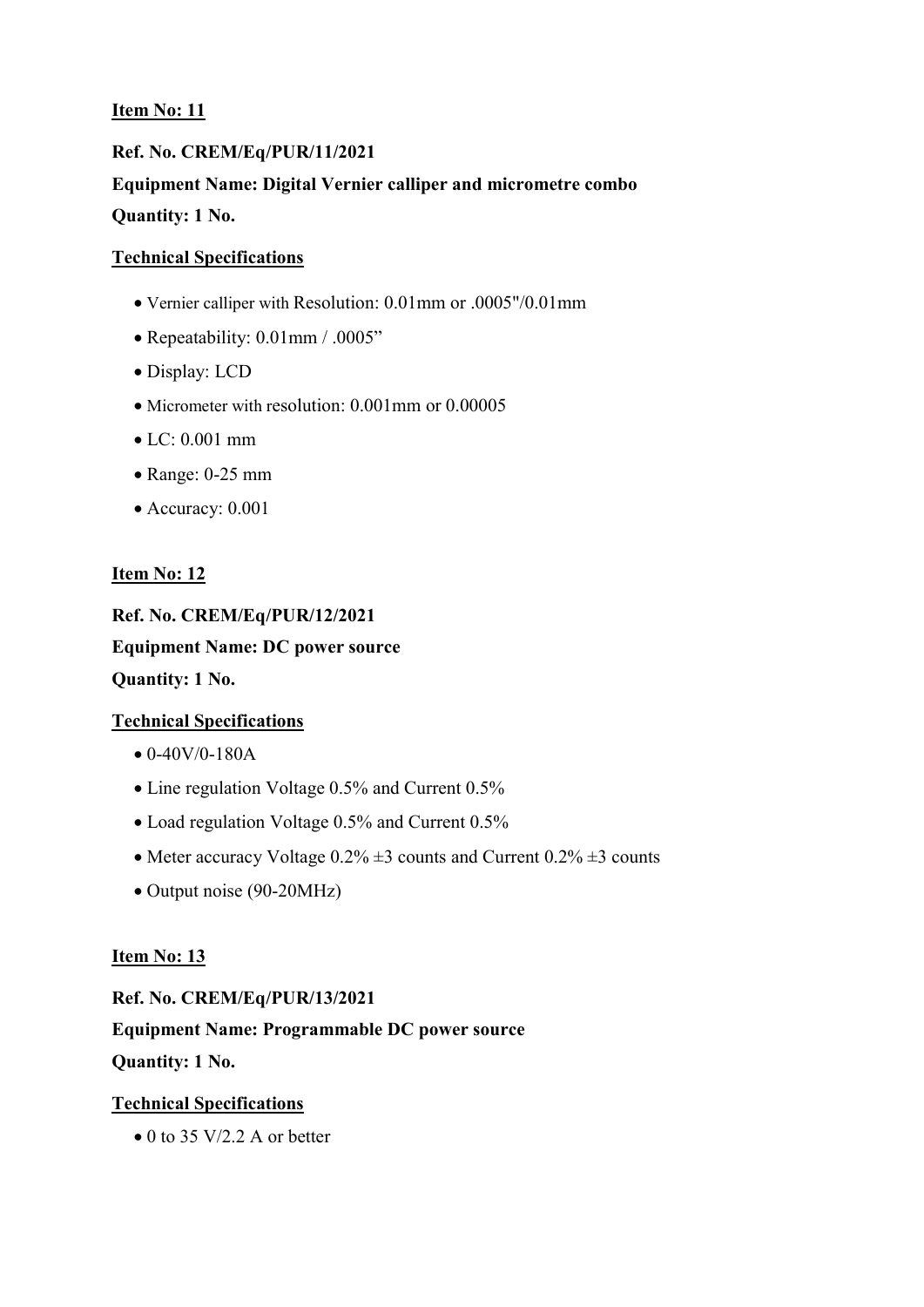## Ref. No. CREM/Eq/PUR/11/2021 Equipment Name: Digital Vernier calliper and micrometre combo Quantity: 1 No.

#### Technical Specifications

- Vernier calliper with Resolution: 0.01mm or .0005"/0.01mm
- Repeatability: 0.01mm / .0005"
- Display: LCD
- Micrometer with resolution: 0.001mm or 0.00005
- LC: 0.001 mm
- Range: 0-25 mm
- Accuracy: 0.001

#### Item No: 12

Ref. No. CREM/Eq/PUR/12/2021 Equipment Name: DC power source Quantity: 1 No.

#### Technical Specifications

- $\bullet$  0-40V/0-180A
- Line regulation Voltage 0.5% and Current 0.5%
- Load regulation Voltage 0.5% and Current 0.5%
- Meter accuracy Voltage  $0.2\% \pm 3$  counts and Current  $0.2\% \pm 3$  counts
- Output noise (90-20MHz)

#### Item No: 13

Ref. No. CREM/Eq/PUR/13/2021 Equipment Name: Programmable DC power source Quantity: 1 No.

#### Technical Specifications

 $\bullet$  0 to 35 V/2.2 A or better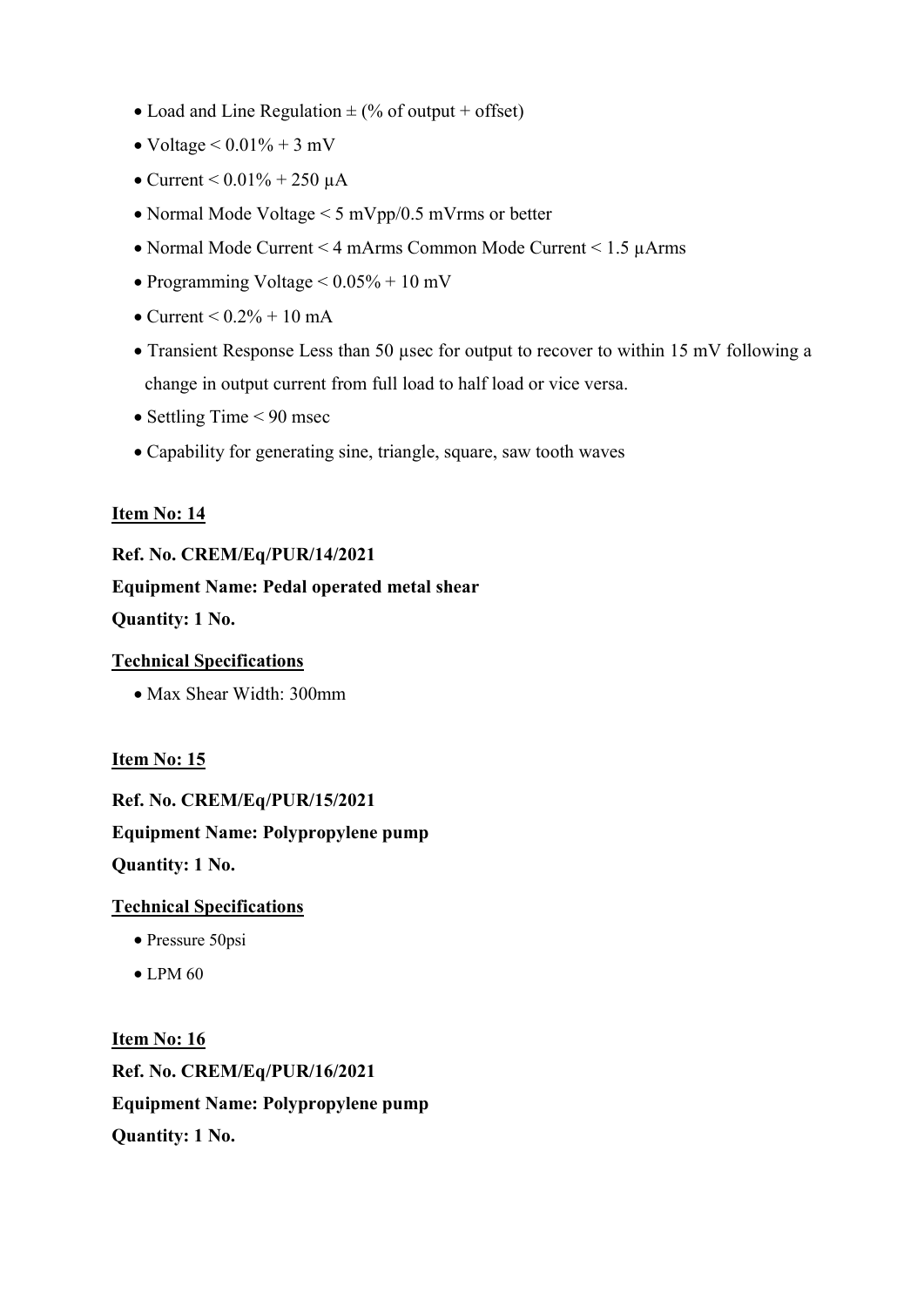- Load and Line Regulation  $\pm$  (% of output + offset)
- Voltage  $\le 0.01\% + 3$  mV
- Current  $< 0.01\% + 250 \mu A$
- Normal Mode Voltage < 5 mVpp/0.5 mVrms or better
- Normal Mode Current < 4 mArms Common Mode Current < 1.5 µArms
- Programming Voltage  $\leq 0.05\% + 10$  mV
- $\bullet$  Current  $\leq 0.2\% + 10 \text{ mA}$
- Transient Response Less than 50 usec for output to recover to within 15 mV following a change in output current from full load to half load or vice versa.
- $\bullet$  Settling Time < 90 msec
- Capability for generating sine, triangle, square, saw tooth waves

#### Ref. No. CREM/Eq/PUR/14/2021

Equipment Name: Pedal operated metal shear Quantity: 1 No.

### Technical Specifications

Max Shear Width: 300mm

Item No: 15

Ref. No. CREM/Eq/PUR/15/2021 Equipment Name: Polypropylene pump Quantity: 1 No.

#### Technical Specifications

- Pressure 50psi
- $\bullet$  LPM 60

Item No: 16 Ref. No. CREM/Eq/PUR/16/2021 Equipment Name: Polypropylene pump Quantity: 1 No.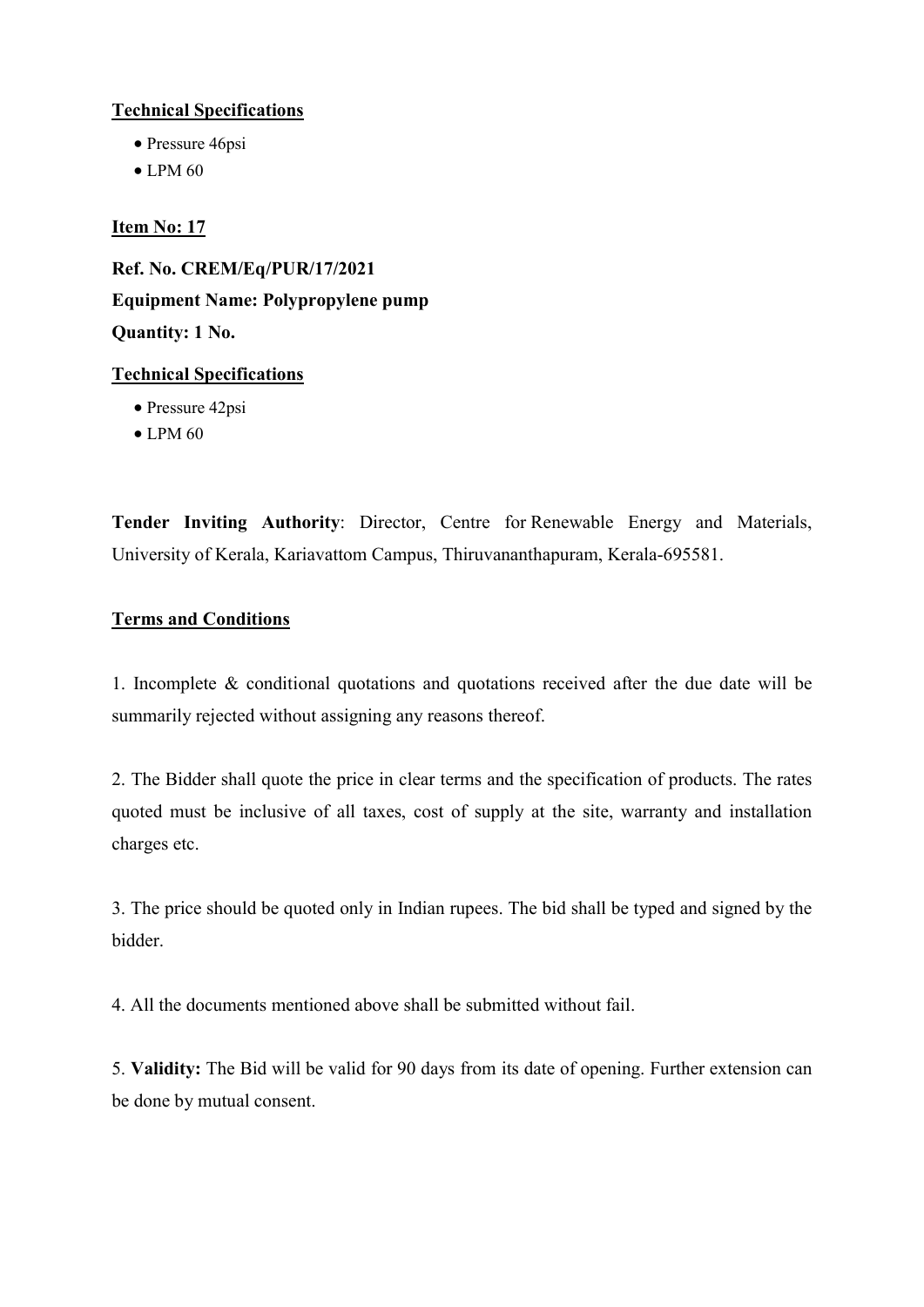#### Technical Specifications

- Pressure 46psi
- $\bullet$  LPM 60

#### Item No: 17

Ref. No. CREM/Eq/PUR/17/2021 Equipment Name: Polypropylene pump Quantity: 1 No.

#### Technical Specifications

- Pressure 42psi
- $\bullet$  LPM 60

Tender Inviting Authority: Director, Centre for Renewable Energy and Materials, University of Kerala, Kariavattom Campus, Thiruvananthapuram, Kerala-695581.

#### Terms and Conditions

1. Incomplete & conditional quotations and quotations received after the due date will be summarily rejected without assigning any reasons thereof.

2. The Bidder shall quote the price in clear terms and the specification of products. The rates quoted must be inclusive of all taxes, cost of supply at the site, warranty and installation charges etc.

3. The price should be quoted only in Indian rupees. The bid shall be typed and signed by the bidder.

4. All the documents mentioned above shall be submitted without fail.

5. Validity: The Bid will be valid for 90 days from its date of opening. Further extension can be done by mutual consent.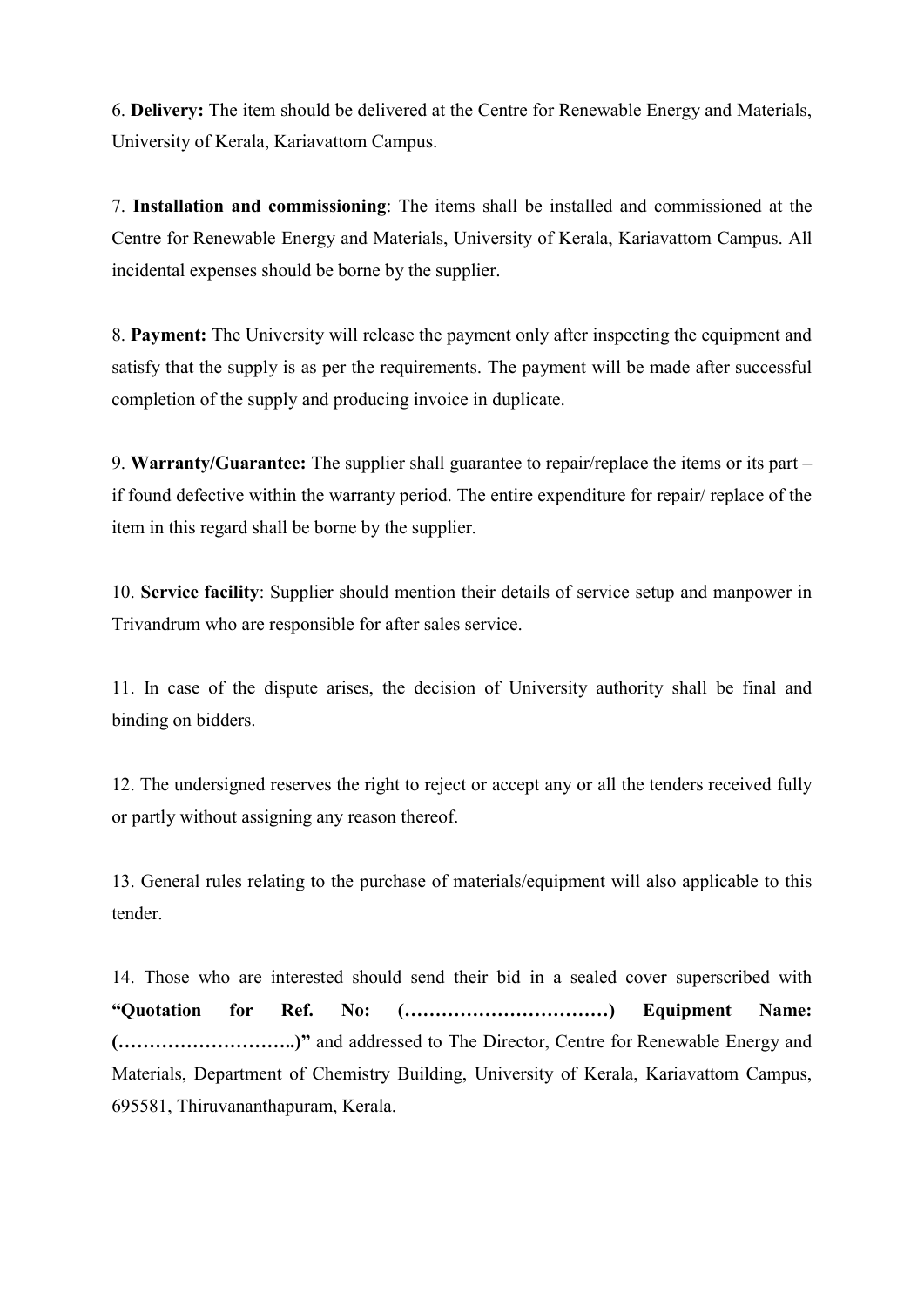6. Delivery: The item should be delivered at the Centre for Renewable Energy and Materials, University of Kerala, Kariavattom Campus.

7. Installation and commissioning: The items shall be installed and commissioned at the Centre for Renewable Energy and Materials, University of Kerala, Kariavattom Campus. All incidental expenses should be borne by the supplier.

8. Payment: The University will release the payment only after inspecting the equipment and satisfy that the supply is as per the requirements. The payment will be made after successful completion of the supply and producing invoice in duplicate.

9. Warranty/Guarantee: The supplier shall guarantee to repair/replace the items or its part – if found defective within the warranty period. The entire expenditure for repair/ replace of the item in this regard shall be borne by the supplier.

10. Service facility: Supplier should mention their details of service setup and manpower in Trivandrum who are responsible for after sales service.

11. In case of the dispute arises, the decision of University authority shall be final and binding on bidders.

12. The undersigned reserves the right to reject or accept any or all the tenders received fully or partly without assigning any reason thereof.

13. General rules relating to the purchase of materials/equipment will also applicable to this tender.

14. Those who are interested should send their bid in a sealed cover superscribed with "Quotation for Ref. No: (……………………………) Equipment Name: (………………………..)" and addressed to The Director, Centre for Renewable Energy and Materials, Department of Chemistry Building, University of Kerala, Kariavattom Campus, 695581, Thiruvananthapuram, Kerala.